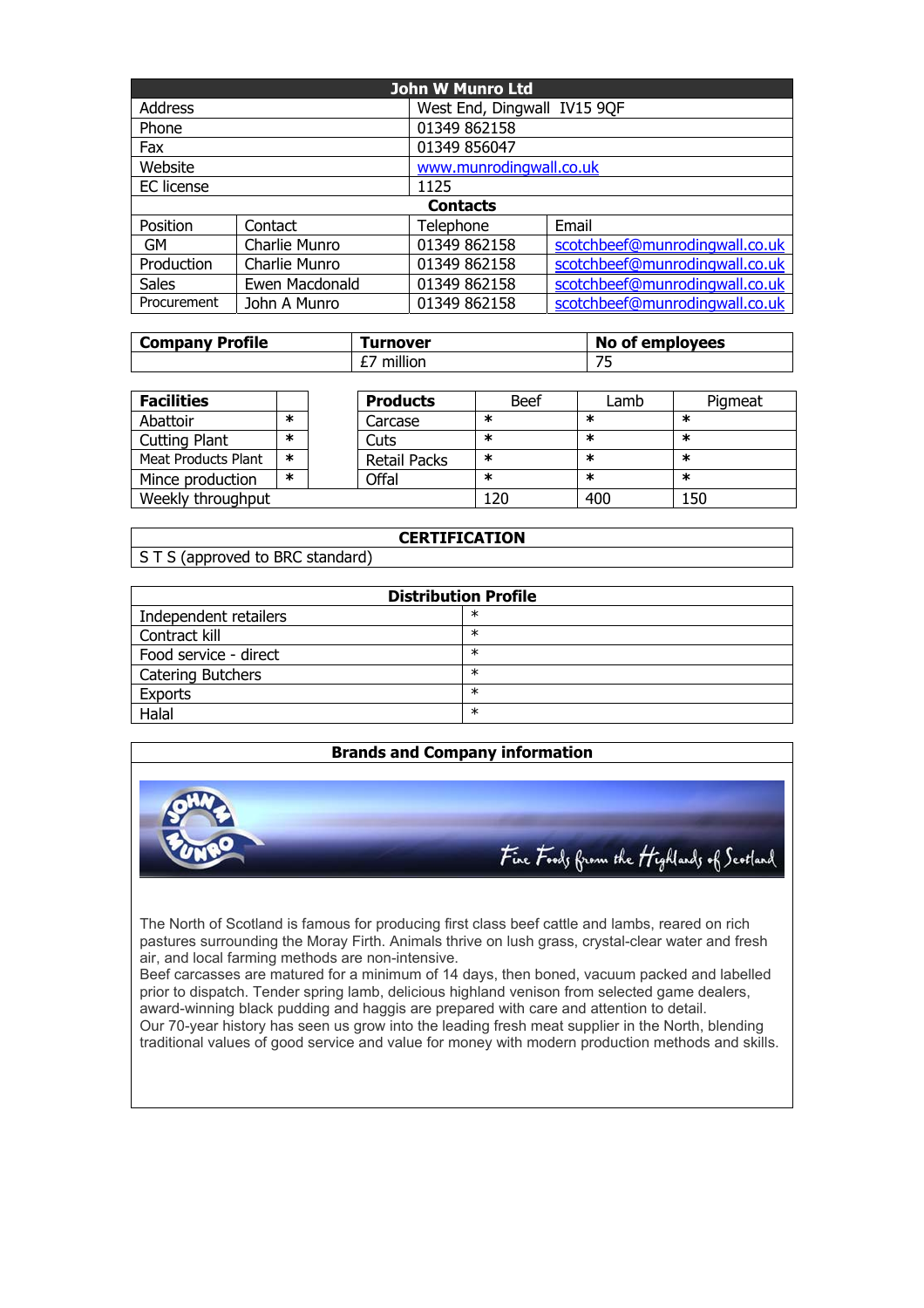| John W Munro Ltd |                |                             |                                |  |  |
|------------------|----------------|-----------------------------|--------------------------------|--|--|
| <b>Address</b>   |                | West End, Dingwall IV15 9QF |                                |  |  |
| Phone            |                | 01349 862158                |                                |  |  |
| Fax              |                | 01349 856047                |                                |  |  |
| Website          |                | www.munrodingwall.co.uk     |                                |  |  |
| EC license       |                | 1125                        |                                |  |  |
|                  |                | <b>Contacts</b>             |                                |  |  |
| Position         | Contact        | Telephone                   | Email                          |  |  |
| <b>GM</b>        | Charlie Munro  | 01349 862158                | scotchbeef@munrodingwall.co.uk |  |  |
| Production       | Charlie Munro  | 01349 862158                | scotchbeef@munrodingwall.co.uk |  |  |
| <b>Sales</b>     | Ewen Macdonald | 01349 862158                | scotchbeef@munrodingwall.co.uk |  |  |
| Procurement      | John A Munro   | 01349 862158                | scotchbeef@munrodingwall.co.uk |  |  |

| <b>Company Profile</b> | <b>Turnover</b>   | <b>No of employees</b>   |  |
|------------------------|-------------------|--------------------------|--|
|                        | $-111$<br>million | $\overline{\phantom{a}}$ |  |

| <b>Facilities</b>    |   |  | <b>Products</b>     | <b>Beef</b> | Lamb   | Pigmeat |
|----------------------|---|--|---------------------|-------------|--------|---------|
| Abattoir             | ж |  | Carcase             | ∗           | ж      | ж       |
| <b>Cutting Plant</b> | ж |  | Cuts                | $\ast$      | $\ast$ | ∗       |
| Meat Products Plant  | ∗ |  | <b>Retail Packs</b> | ∗           | ж      | ∗       |
| Mince production     | ж |  | Offal               | $\ast$      | ж      | ∗       |
| Weekly throughput    |   |  | 120                 | 400         | 150    |         |

## **CERTIFICATION**

S T S (approved to BRC standard)

| <b>Distribution Profile</b> |        |  |  |  |
|-----------------------------|--------|--|--|--|
| Independent retailers       | $\ast$ |  |  |  |
| Contract kill               | $\ast$ |  |  |  |
| Food service - direct       | ∗      |  |  |  |
| <b>Catering Butchers</b>    | ∗      |  |  |  |
| <b>Exports</b>              | $\ast$ |  |  |  |
| Halal                       | $\ast$ |  |  |  |

## **Brands and Company information**



The North of Scotland is famous for producing first class beef cattle and lambs, reared on rich pastures surrounding the Moray Firth. Animals thrive on lush grass, crystal-clear water and fresh air, and local farming methods are non-intensive.

Beef carcasses are matured for a minimum of 14 days, then boned, vacuum packed and labelled prior to dispatch. Tender spring lamb, delicious highland venison from selected game dealers, award-winning black pudding and haggis are prepared with care and attention to detail. Our 70-year history has seen us grow into the leading fresh meat supplier in the North, blending traditional values of good service and value for money with modern production methods and skills.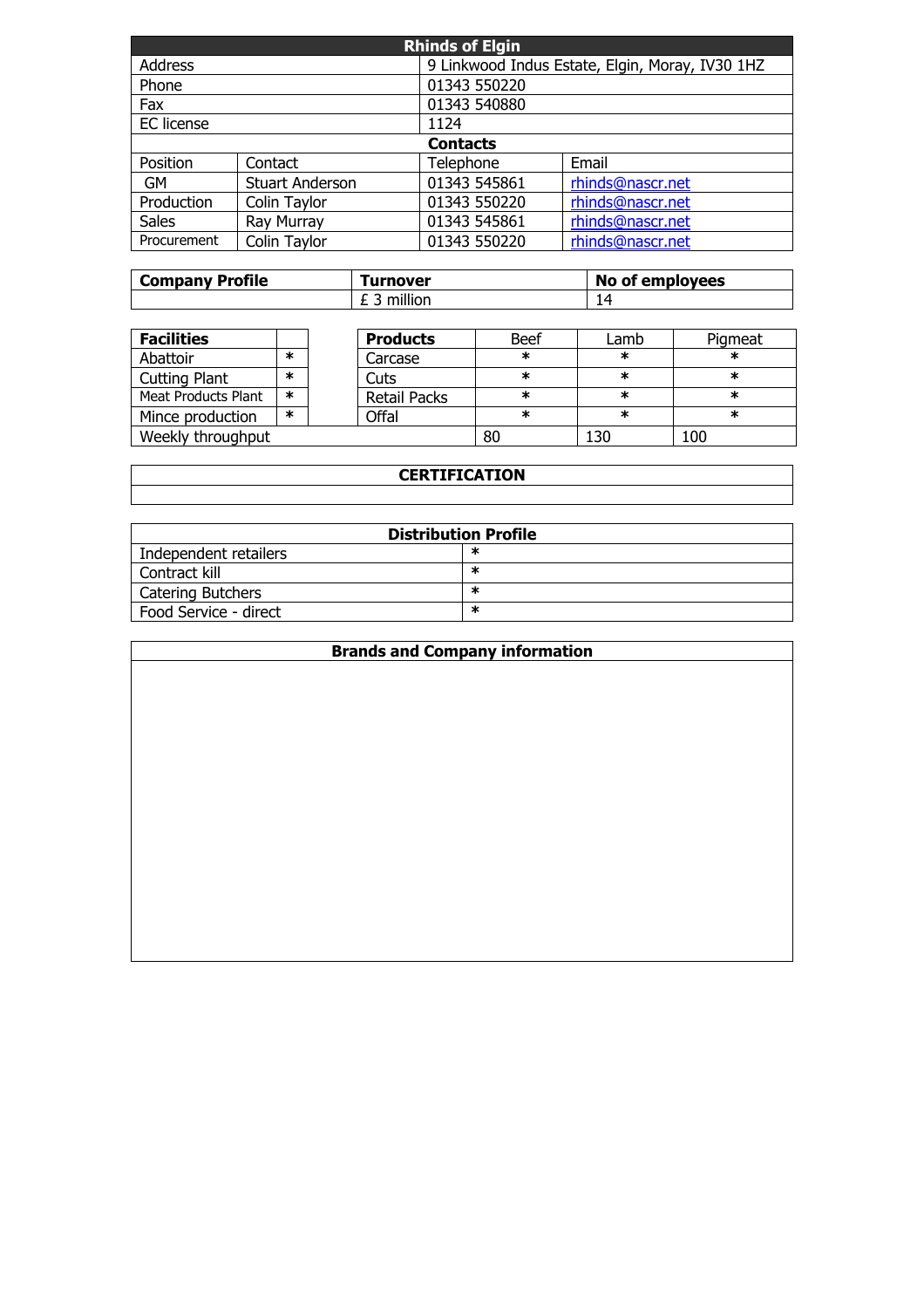| <b>Rhinds of Elgin</b>     |                        |              |                                                 |  |  |
|----------------------------|------------------------|--------------|-------------------------------------------------|--|--|
| <b>Address</b>             |                        |              | 9 Linkwood Indus Estate, Elgin, Moray, IV30 1HZ |  |  |
| Phone                      |                        | 01343 550220 |                                                 |  |  |
| Fax                        |                        | 01343 540880 |                                                 |  |  |
| <b>EC</b> license          |                        | 1124         |                                                 |  |  |
|                            | <b>Contacts</b>        |              |                                                 |  |  |
| Position                   | Contact                | Telephone    | Email                                           |  |  |
| <b>GM</b>                  | <b>Stuart Anderson</b> | 01343 545861 | rhinds@nascr.net                                |  |  |
| Production<br>Colin Taylor |                        | 01343 550220 | rhinds@nascr.net                                |  |  |
| <b>Sales</b>               | Ray Murray             | 01343 545861 | rhinds@nascr.net                                |  |  |
| Procurement                | Colin Taylor           | 01343 550220 | rhinds@nascr.net                                |  |  |

| <b>Company Profile</b> | <b>Turnover</b> | No of employees |  |
|------------------------|-----------------|-----------------|--|
|                        | million         |                 |  |

| <b>Facilities</b>          |        |  | <b>Products</b>     | <b>Beef</b> | Lamb   | Pigmeat |
|----------------------------|--------|--|---------------------|-------------|--------|---------|
| Abattoir                   | ж      |  | Carcase             | ж           | $\ast$ | ∗       |
| <b>Cutting Plant</b>       | ж      |  | Cuts                | ж           | *      | ∗       |
| <b>Meat Products Plant</b> | $\ast$ |  | <b>Retail Packs</b> | ж           | *      | ∗       |
| Mince production           | ж      |  | Offal               | ∗           | *      | ∗       |
| Weekly throughput          |        |  | 80                  | 130         | 100    |         |

## **CERTIFICATION**

| <b>Distribution Profile</b> |   |  |  |  |
|-----------------------------|---|--|--|--|
| Independent retailers       | ж |  |  |  |
| Contract kill               | ж |  |  |  |
| Catering Butchers           | ж |  |  |  |
| Food Service - direct       | ж |  |  |  |

| <b>Brands and Company information</b> |  |  |  |  |
|---------------------------------------|--|--|--|--|
|                                       |  |  |  |  |
|                                       |  |  |  |  |
|                                       |  |  |  |  |
|                                       |  |  |  |  |
|                                       |  |  |  |  |
|                                       |  |  |  |  |
|                                       |  |  |  |  |
|                                       |  |  |  |  |
|                                       |  |  |  |  |
|                                       |  |  |  |  |
|                                       |  |  |  |  |
|                                       |  |  |  |  |
|                                       |  |  |  |  |
|                                       |  |  |  |  |
|                                       |  |  |  |  |
|                                       |  |  |  |  |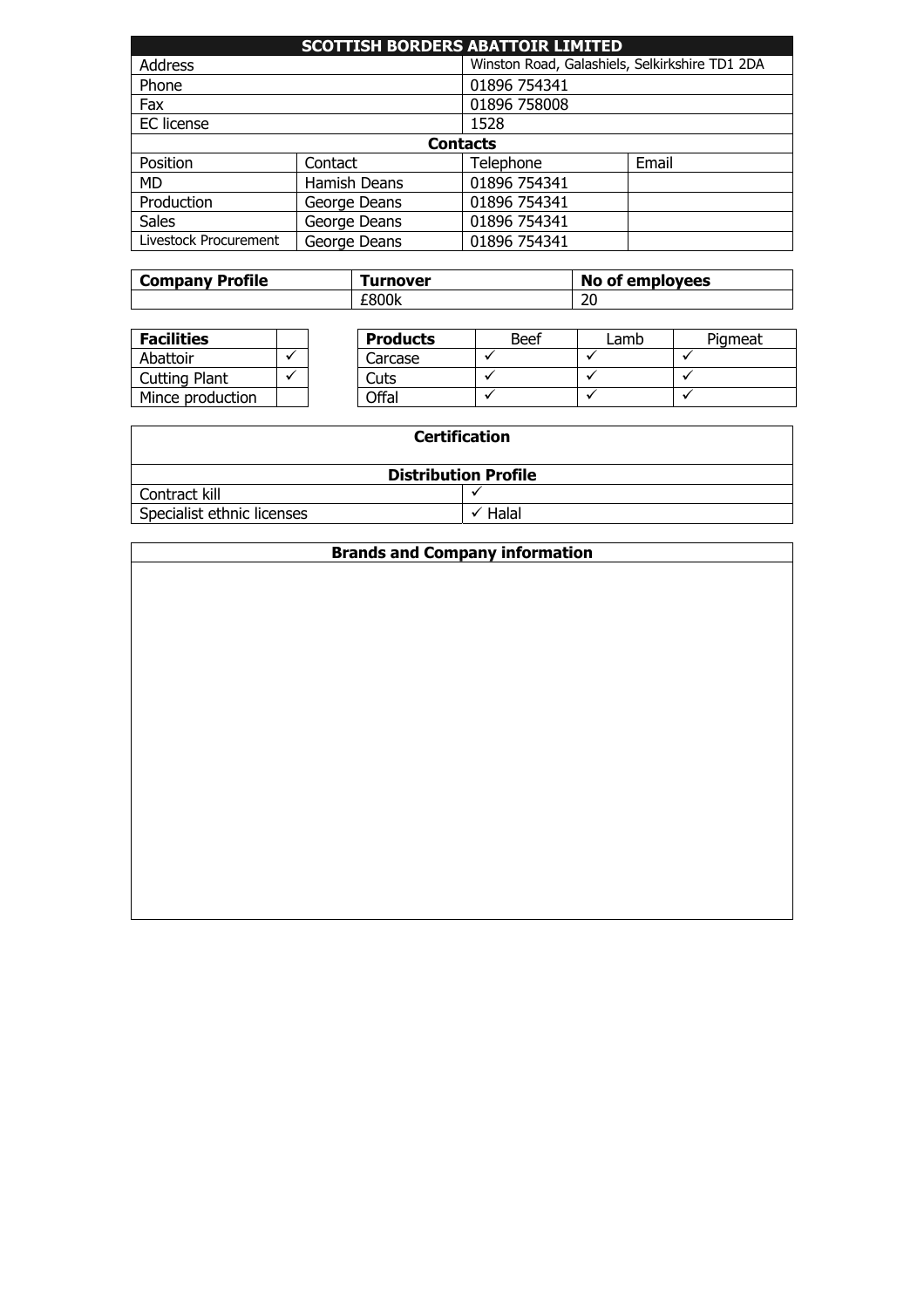| <b>SCOTTISH BORDERS ABATTOIR LIMITED</b> |              |                                                |       |  |  |
|------------------------------------------|--------------|------------------------------------------------|-------|--|--|
| <b>Address</b>                           |              | Winston Road, Galashiels, Selkirkshire TD1 2DA |       |  |  |
| Phone                                    |              | 01896 754341                                   |       |  |  |
| Fax                                      |              | 01896 758008                                   |       |  |  |
| EC license                               |              | 1528                                           |       |  |  |
| <b>Contacts</b>                          |              |                                                |       |  |  |
| Position                                 | Contact      | Telephone                                      | Email |  |  |
| <b>MD</b>                                | Hamish Deans | 01896 754341                                   |       |  |  |
| Production                               | George Deans | 01896 754341                                   |       |  |  |
| <b>Sales</b>                             | George Deans | 01896 754341                                   |       |  |  |
| Livestock Procurement                    | George Deans | 01896 754341                                   |       |  |  |

| <b>Company Profile</b> | <b>furnover</b> | No of employees |  |
|------------------------|-----------------|-----------------|--|
|                        | £800k           | n c<br>∠⊾       |  |

| <b>Facilities</b>    |  | <b>Products</b> | <b>Beef</b> | _amb | Piameat |
|----------------------|--|-----------------|-------------|------|---------|
| Abattoir             |  | Carcase         |             |      |         |
| <b>Cutting Plant</b> |  | Cuts            |             |      |         |
| Mince production     |  | Offal           |             |      |         |

| <b>Certification</b>       |                             |  |
|----------------------------|-----------------------------|--|
|                            | <b>Distribution Profile</b> |  |
| Contract kill              |                             |  |
| Specialist ethnic licenses | Halal                       |  |

| <b>Brands and Company information</b> |  |
|---------------------------------------|--|
|                                       |  |
|                                       |  |
|                                       |  |
|                                       |  |
|                                       |  |
|                                       |  |
|                                       |  |
|                                       |  |
|                                       |  |
|                                       |  |
|                                       |  |
|                                       |  |
|                                       |  |
|                                       |  |
|                                       |  |
|                                       |  |
|                                       |  |
|                                       |  |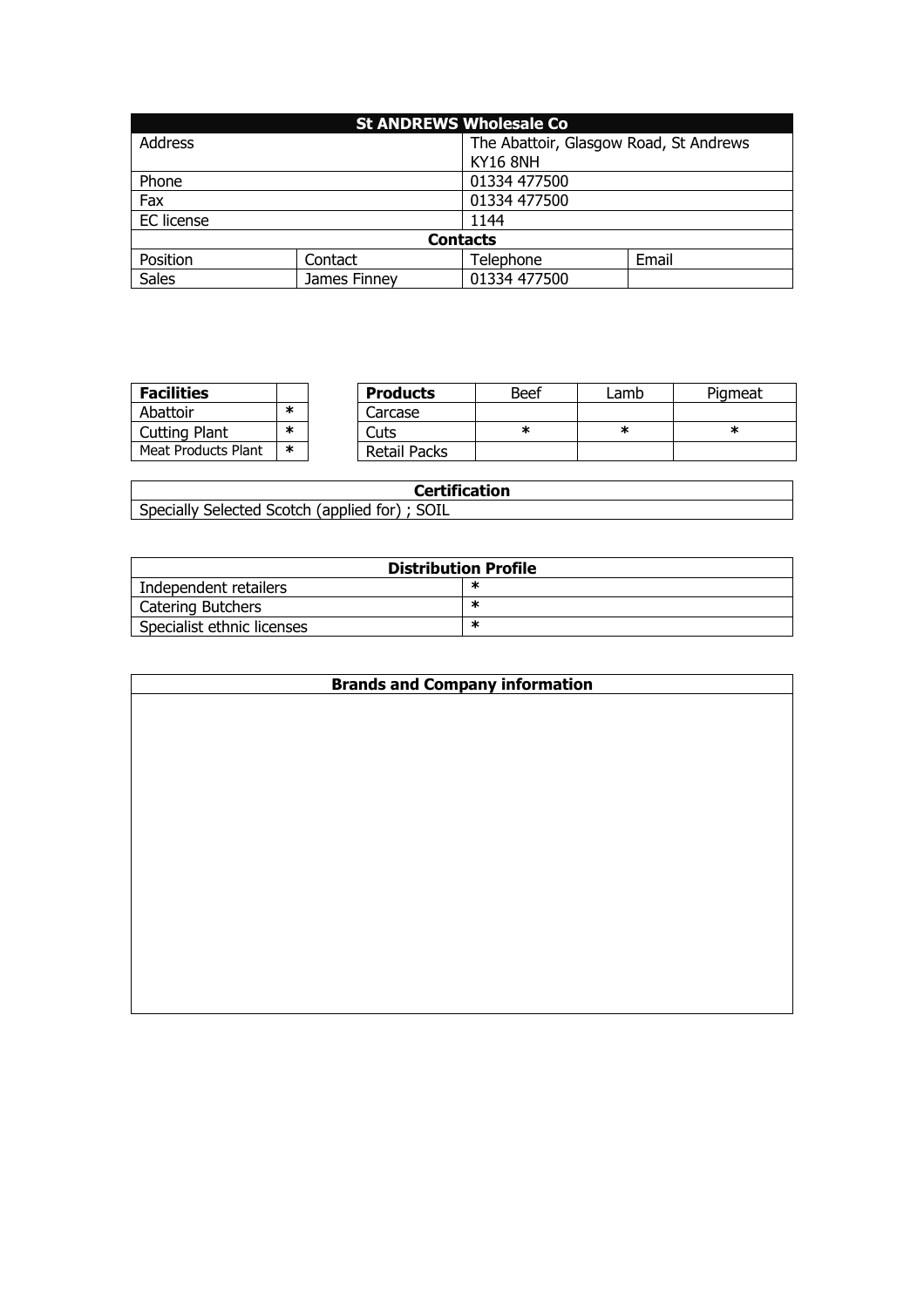| <b>St ANDREWS Wholesale Co</b> |              |                                        |       |  |
|--------------------------------|--------------|----------------------------------------|-------|--|
| <b>Address</b>                 |              | The Abattoir, Glasgow Road, St Andrews |       |  |
|                                |              | <b>KY16 8NH</b>                        |       |  |
| Phone                          |              | 01334 477500                           |       |  |
| Fax                            |              | 01334 477500                           |       |  |
| EC license                     |              | 1144                                   |       |  |
| <b>Contacts</b>                |              |                                        |       |  |
| Position                       | Contact      | Telephone                              | Email |  |
| <b>Sales</b>                   | James Finney | 01334 477500                           |       |  |

| <b>Facilities</b>          |        | <b>Products</b>     | Beef | _amb | Piameat |
|----------------------------|--------|---------------------|------|------|---------|
| Abattoir                   | ж      | Carcase             |      |      |         |
| <b>Cutting Plant</b>       | ÷      | Cuts                | ж    |      | ж       |
| <b>Meat Products Plant</b> | $\ast$ | <b>Retail Packs</b> |      |      |         |

| Certification                                 |
|-----------------------------------------------|
| Specially Selected Scotch (applied for); SOIL |

| <b>Distribution Profile</b> |   |  |
|-----------------------------|---|--|
| Independent retailers       | ∗ |  |
| Catering Butchers           | ж |  |
| Specialist ethnic licenses  | ж |  |

| <b>Brands and Company information</b> |  |
|---------------------------------------|--|
|                                       |  |
|                                       |  |
|                                       |  |
|                                       |  |
|                                       |  |
|                                       |  |
|                                       |  |
|                                       |  |
|                                       |  |
|                                       |  |
|                                       |  |
|                                       |  |
|                                       |  |
|                                       |  |
|                                       |  |
|                                       |  |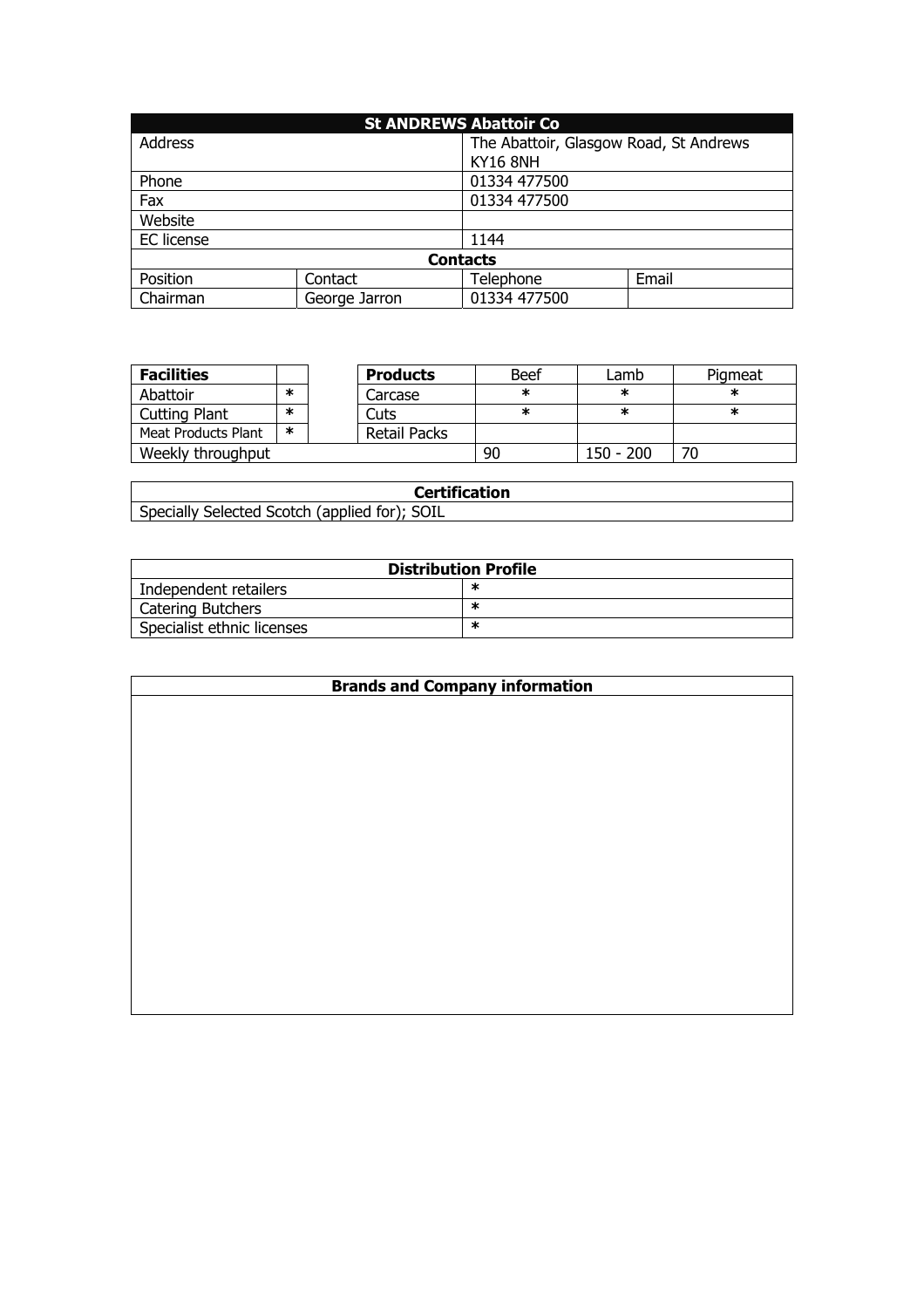| <b>St ANDREWS Abattoir Co</b> |               |                 |                                        |  |  |
|-------------------------------|---------------|-----------------|----------------------------------------|--|--|
| Address                       |               |                 | The Abattoir, Glasgow Road, St Andrews |  |  |
|                               |               | <b>KY16 8NH</b> |                                        |  |  |
| Phone                         |               | 01334 477500    |                                        |  |  |
| Fax                           |               | 01334 477500    |                                        |  |  |
| Website                       |               |                 |                                        |  |  |
| EC license                    |               | 1144            |                                        |  |  |
| <b>Contacts</b>               |               |                 |                                        |  |  |
| Position                      | Contact       | Telephone       | Email                                  |  |  |
| Chairman                      | George Jarron | 01334 477500    |                                        |  |  |

| <b>Facilities</b>   |        | <b>Products</b> | <b>Beef</b> | Lamb      | Pigmeat |
|---------------------|--------|-----------------|-------------|-----------|---------|
| Abattoir            | ж      | Carcase         | ж           | ж         | ж       |
| Cutting Plant       | $\ast$ | Cuts            | ж           | ж         | ж       |
| Meat Products Plant | *      | Retail Packs    |             |           |         |
| Weekly throughput   |        |                 | 90          | 150 - 200 | 70      |

| <b>Certification</b>                          |
|-----------------------------------------------|
| Specially Selected Scotch (applied for); SOIL |

| <b>Distribution Profile</b> |   |  |
|-----------------------------|---|--|
| Independent retailers       |   |  |
| Catering Butchers           | ж |  |
| Specialist ethnic licenses  | ж |  |

| <b>Brands and Company information</b> |
|---------------------------------------|
|                                       |
|                                       |
|                                       |
|                                       |
|                                       |
|                                       |
|                                       |
|                                       |
|                                       |
|                                       |
|                                       |
|                                       |
|                                       |
|                                       |
|                                       |
|                                       |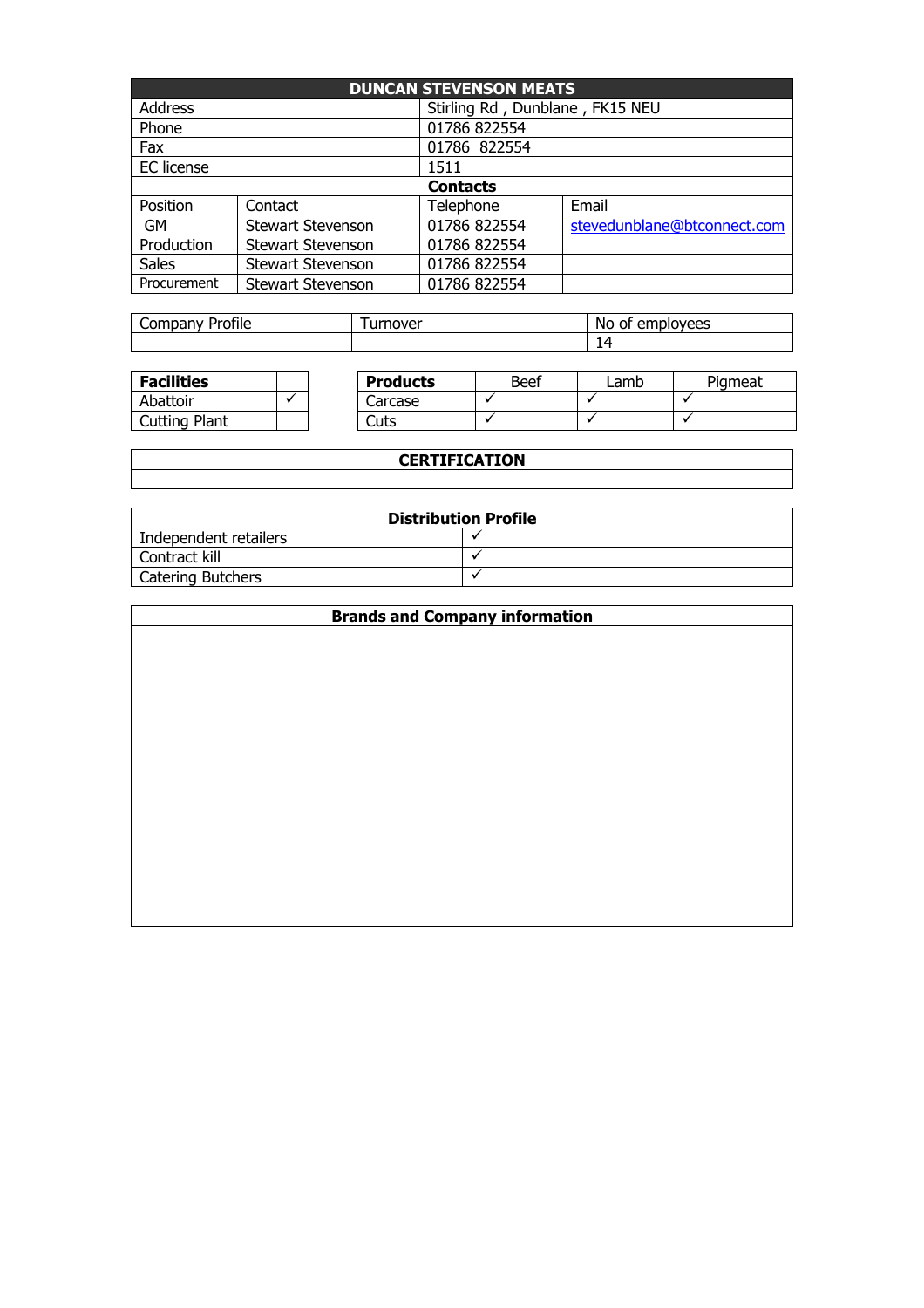| <b>DUNCAN STEVENSON MEATS</b> |                          |                                 |                             |  |  |
|-------------------------------|--------------------------|---------------------------------|-----------------------------|--|--|
| <b>Address</b>                |                          | Stirling Rd, Dunblane, FK15 NEU |                             |  |  |
| Phone                         |                          | 01786 822554                    |                             |  |  |
| Fax                           |                          | 01786 822554                    |                             |  |  |
| EC license                    |                          | 1511                            |                             |  |  |
|                               | <b>Contacts</b>          |                                 |                             |  |  |
| Position                      | Contact                  | Telephone                       | Email                       |  |  |
| <b>GM</b>                     | <b>Stewart Stevenson</b> | 01786 822554                    | stevedunblane@btconnect.com |  |  |
| Production                    | <b>Stewart Stevenson</b> | 01786 822554                    |                             |  |  |
| <b>Sales</b>                  | <b>Stewart Stevenson</b> | 01786 822554                    |                             |  |  |
| Procurement                   | <b>Stewart Stevenson</b> | 01786 822554                    |                             |  |  |

| - - -<br><b>COMMON</b><br>Profile<br>∵ Umpanvس | urnover<br>u | Νo<br>lovees<br>. emr<br>വ<br>ш<br>ັັ<br>◡<br>. |  |
|------------------------------------------------|--------------|-------------------------------------------------|--|
|                                                |              | ◢                                               |  |

| <b>Facilities</b> |  | <b>Products</b> | Beef | _amb | Pigmeat |
|-------------------|--|-----------------|------|------|---------|
| Abattoir          |  | Carcase         |      |      |         |
| Cutting Plant     |  | Cuts            |      |      |         |

| <b>CERTIFICATION</b> |  |  |  |
|----------------------|--|--|--|
|                      |  |  |  |

| <b>Distribution Profile</b> |  |  |  |
|-----------------------------|--|--|--|
| Independent retailers       |  |  |  |
| Contract kill               |  |  |  |
| Catering Butchers           |  |  |  |

| <b>Brands and Company information</b> |  |  |  |
|---------------------------------------|--|--|--|
|                                       |  |  |  |
|                                       |  |  |  |
|                                       |  |  |  |
|                                       |  |  |  |
|                                       |  |  |  |
|                                       |  |  |  |
|                                       |  |  |  |
|                                       |  |  |  |
|                                       |  |  |  |
|                                       |  |  |  |
|                                       |  |  |  |
|                                       |  |  |  |
|                                       |  |  |  |
|                                       |  |  |  |
|                                       |  |  |  |
|                                       |  |  |  |
|                                       |  |  |  |